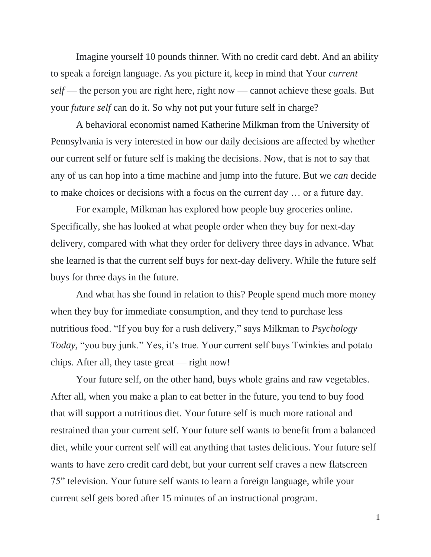Imagine yourself 10 pounds thinner. With no credit card debt. And an ability to speak a foreign language. As you picture it, keep in mind that Your *current self* — the person you are right here, right now — cannot achieve these goals. But your *future self* can do it. So why not put your future self in charge?

A behavioral economist named Katherine Milkman from the University of Pennsylvania is very interested in how our daily decisions are affected by whether our current self or future self is making the decisions. Now, that is not to say that any of us can hop into a time machine and jump into the future. But we *can* decide to make choices or decisions with a focus on the current day … or a future day.

For example, Milkman has explored how people buy groceries online. Specifically, she has looked at what people order when they buy for next-day delivery, compared with what they order for delivery three days in advance. What she learned is that the current self buys for next-day delivery. While the future self buys for three days in the future.

And what has she found in relation to this? People spend much more money when they buy for immediate consumption, and they tend to purchase less nutritious food. "If you buy for a rush delivery," says Milkman to *Psychology Today,* "you buy junk." Yes, it's true. Your current self buys Twinkies and potato chips. After all, they taste great — right now!

Your future self, on the other hand, buys whole grains and raw vegetables. After all, when you make a plan to eat better in the future, you tend to buy food that will support a nutritious diet. Your future self is much more rational and restrained than your current self. Your future self wants to benefit from a balanced diet, while your current self will eat anything that tastes delicious. Your future self wants to have zero credit card debt, but your current self craves a new flatscreen 75" television. Your future self wants to learn a foreign language, while your current self gets bored after 15 minutes of an instructional program.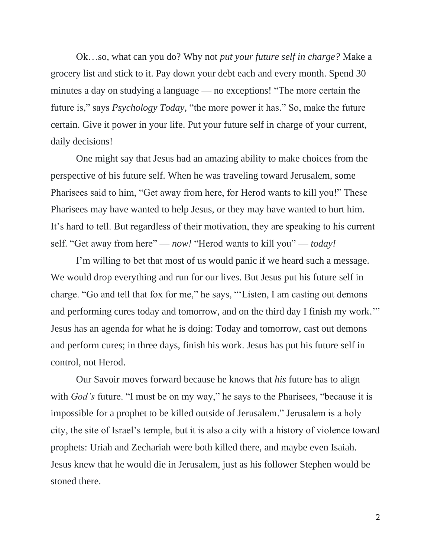Ok…so, what can you do? Why not *put your future self in charge?* Make a grocery list and stick to it. Pay down your debt each and every month. Spend 30 minutes a day on studying a language — no exceptions! "The more certain the future is," says *Psychology Today,* "the more power it has." So, make the future certain. Give it power in your life. Put your future self in charge of your current, daily decisions!

One might say that Jesus had an amazing ability to make choices from the perspective of his future self. When he was traveling toward Jerusalem, some Pharisees said to him, "Get away from here, for Herod wants to kill you!" These Pharisees may have wanted to help Jesus, or they may have wanted to hurt him. It's hard to tell. But regardless of their motivation, they are speaking to his current self. "Get away from here" — *now!* "Herod wants to kill you" — *today!*

I'm willing to bet that most of us would panic if we heard such a message. We would drop everything and run for our lives. But Jesus put his future self in charge. "Go and tell that fox for me," he says, "'Listen, I am casting out demons and performing cures today and tomorrow, and on the third day I finish my work.'" Jesus has an agenda for what he is doing: Today and tomorrow, cast out demons and perform cures; in three days, finish his work. Jesus has put his future self in control, not Herod.

Our Savoir moves forward because he knows that *his* future has to align with *God's* future. "I must be on my way," he says to the Pharisees, "because it is impossible for a prophet to be killed outside of Jerusalem." Jerusalem is a holy city, the site of Israel's temple, but it is also a city with a history of violence toward prophets: Uriah and Zechariah were both killed there, and maybe even Isaiah. Jesus knew that he would die in Jerusalem, just as his follower Stephen would be stoned there.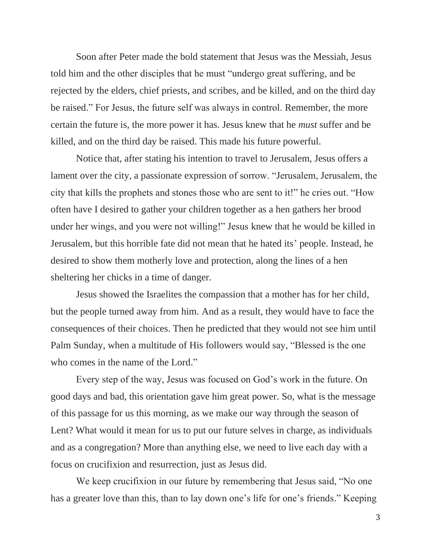Soon after Peter made the bold statement that Jesus was the Messiah, Jesus told him and the other disciples that he must "undergo great suffering, and be rejected by the elders, chief priests, and scribes, and be killed, and on the third day be raised." For Jesus, the future self was always in control. Remember, the more certain the future is, the more power it has. Jesus knew that he *must* suffer and be killed, and on the third day be raised. This made his future powerful.

Notice that, after stating his intention to travel to Jerusalem, Jesus offers a lament over the city, a passionate expression of sorrow. "Jerusalem, Jerusalem, the city that kills the prophets and stones those who are sent to it!" he cries out. "How often have I desired to gather your children together as a hen gathers her brood under her wings, and you were not willing!" Jesus knew that he would be killed in Jerusalem, but this horrible fate did not mean that he hated its' people. Instead, he desired to show them motherly love and protection, along the lines of a hen sheltering her chicks in a time of danger.

Jesus showed the Israelites the compassion that a mother has for her child, but the people turned away from him. And as a result, they would have to face the consequences of their choices. Then he predicted that they would not see him until Palm Sunday, when a multitude of His followers would say, "Blessed is the one who comes in the name of the Lord."

Every step of the way, Jesus was focused on God's work in the future. On good days and bad, this orientation gave him great power. So, what is the message of this passage for us this morning, as we make our way through the season of Lent? What would it mean for us to put our future selves in charge, as individuals and as a congregation? More than anything else, we need to live each day with a focus on crucifixion and resurrection, just as Jesus did.

We keep crucifixion in our future by remembering that Jesus said, "No one has a greater love than this, than to lay down one's life for one's friends." Keeping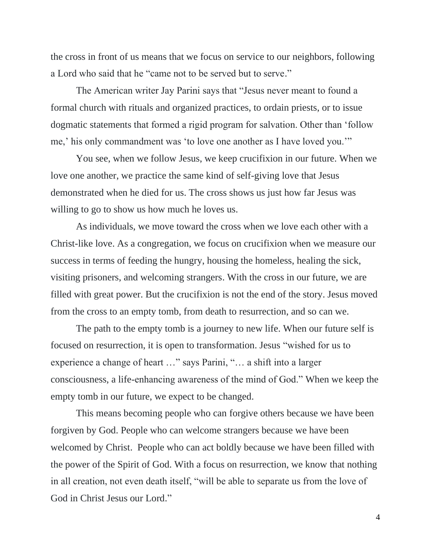the cross in front of us means that we focus on service to our neighbors, following a Lord who said that he "came not to be served but to serve."

The American writer Jay Parini says that "Jesus never meant to found a formal church with rituals and organized practices, to ordain priests, or to issue dogmatic statements that formed a rigid program for salvation. Other than 'follow me,' his only commandment was 'to love one another as I have loved you.'"

You see, when we follow Jesus, we keep crucifixion in our future. When we love one another, we practice the same kind of self-giving love that Jesus demonstrated when he died for us. The cross shows us just how far Jesus was willing to go to show us how much he loves us.

As individuals, we move toward the cross when we love each other with a Christ-like love. As a congregation, we focus on crucifixion when we measure our success in terms of feeding the hungry, housing the homeless, healing the sick, visiting prisoners, and welcoming strangers. With the cross in our future, we are filled with great power. But the crucifixion is not the end of the story. Jesus moved from the cross to an empty tomb, from death to resurrection, and so can we.

The path to the empty tomb is a journey to new life. When our future self is focused on resurrection, it is open to transformation. Jesus "wished for us to experience a change of heart …" says Parini, "… a shift into a larger consciousness, a life-enhancing awareness of the mind of God." When we keep the empty tomb in our future, we expect to be changed.

This means becoming people who can forgive others because we have been forgiven by God. People who can welcome strangers because we have been welcomed by Christ. People who can act boldly because we have been filled with the power of the Spirit of God. With a focus on resurrection, we know that nothing in all creation, not even death itself, "will be able to separate us from the love of God in Christ Jesus our Lord."